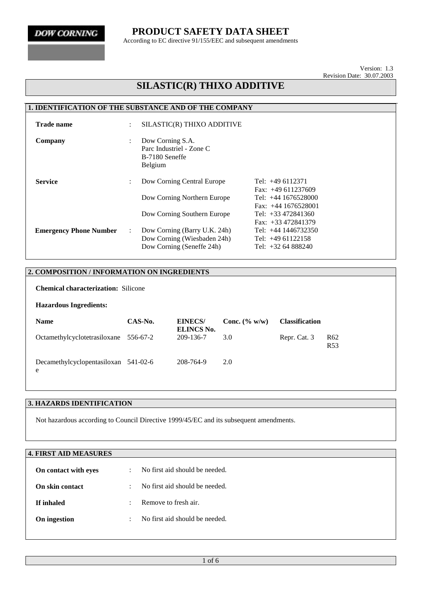According to EC directive 91/155/EEC and subsequent amendments

Version: 1.3 Revision Date: 30.07.2003

## **SILASTIC(R) THIXO ADDITIVE**

### **1. IDENTIFICATION OF THE SUBSTANCE AND OF THE COMPANY**

| <b>Trade name</b>             | $\ddot{\phantom{0}}$ | SILASTIC(R) THIXO ADDITIVE                                                               |                                                                                             |
|-------------------------------|----------------------|------------------------------------------------------------------------------------------|---------------------------------------------------------------------------------------------|
| Company                       | $\ddot{\phantom{a}}$ | Dow Corning S.A.<br>Parc Industriel - Zone C<br>B-7180 Seneffe<br>Belgium                |                                                                                             |
| <b>Service</b>                | ÷                    | Dow Corning Central Europe<br>Dow Corning Northern Europe                                | Tel: $+49$ 6112371<br>Fax: $+49611237609$<br>Tel: $+44$ 1676528000<br>Fax: $+44$ 1676528001 |
|                               |                      | Dow Corning Southern Europe                                                              | Tel: $+33\,472841360$<br>Fax: $+33\,472841379$                                              |
| <b>Emergency Phone Number</b> | $\ddot{\phantom{a}}$ | Dow Corning (Barry U.K. 24h)<br>Dow Corning (Wiesbaden 24h)<br>Dow Corning (Seneffe 24h) | Tel: +44 1446732350<br>Tel: $+4961122158$<br>Tel: $+3264888240$                             |

### **2. COMPOSITION / INFORMATION ON INGREDIENTS**

**Chemical characterization:** Silicone

#### **Hazardous Ingredients:**

| <b>Name</b>                               | CAS-No. | <b>EINECS/</b><br>ELINCS No. | Conc. $(\% w/w)$ | <b>Classification</b> |                                    |
|-------------------------------------------|---------|------------------------------|------------------|-----------------------|------------------------------------|
| Octamethylcyclotetrasiloxane 556-67-2     |         | 209-136-7                    | 3.0              | Repr. Cat. 3          | R <sub>62</sub><br>R <sub>53</sub> |
| Decamethylcyclopentasiloxan 541-02-6<br>e |         | 208-764-9                    | 2.0              |                       |                                    |

### **3. HAZARDS IDENTIFICATION**

Not hazardous according to Council Directive 1999/45/EC and its subsequent amendments.

## **4. FIRST AID MEASURES**

| On contact with eyes   | No first aid should be needed. |
|------------------------|--------------------------------|
| <b>On skin contact</b> | No first aid should be needed. |
| If inhaled             | Remove to fresh air.           |
| On ingestion           | No first aid should be needed. |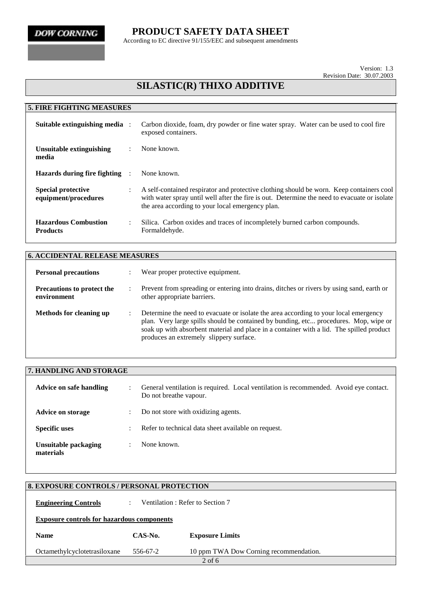According to EC directive 91/155/EEC and subsequent amendments

Version: 1.3 Revision Date: 30.07.2003

# **SILASTIC(R) THIXO ADDITIVE**

| <b>5. FIRE FIGHTING MEASURES</b>                  |                      |                                                                                                                                                                                                                                              |
|---------------------------------------------------|----------------------|----------------------------------------------------------------------------------------------------------------------------------------------------------------------------------------------------------------------------------------------|
| Suitable extinguishing media :                    |                      | Carbon dioxide, foam, dry powder or fine water spray. Water can be used to cool fire<br>exposed containers.                                                                                                                                  |
| Unsuitable extinguishing<br>media                 |                      | None known.                                                                                                                                                                                                                                  |
| Hazards during fire fighting :                    |                      | None known.                                                                                                                                                                                                                                  |
| <b>Special protective</b><br>equipment/procedures |                      | A self-contained respirator and protective clothing should be worn. Keep containers cool<br>with water spray until well after the fire is out. Determine the need to evacuate or isolate<br>the area according to your local emergency plan. |
| <b>Hazardous Combustion</b><br><b>Products</b>    | $\ddot{\phantom{0}}$ | Silica. Carbon oxides and traces of incompletely burned carbon compounds.<br>Formaldehyde.                                                                                                                                                   |

| <b>6. ACCIDENTAL RELEASE MEASURES</b>            |   |                                                                                                                                                                                                                                                                                                                     |
|--------------------------------------------------|---|---------------------------------------------------------------------------------------------------------------------------------------------------------------------------------------------------------------------------------------------------------------------------------------------------------------------|
| <b>Personal precautions</b>                      |   | Wear proper protective equipment.                                                                                                                                                                                                                                                                                   |
| <b>Precautions to protect the</b><br>environment |   | Prevent from spreading or entering into drains, ditches or rivers by using sand, earth or<br>other appropriate barriers.                                                                                                                                                                                            |
| Methods for cleaning up                          | ٠ | Determine the need to evacuate or isolate the area according to your local emergency<br>plan. Very large spills should be contained by bunding, etc procedures. Mop, wipe or<br>soak up with absorbent material and place in a container with a lid. The spilled product<br>produces an extremely slippery surface. |

| 7. HANDLING AND STORAGE           |                      |                                                                                                                 |
|-----------------------------------|----------------------|-----------------------------------------------------------------------------------------------------------------|
| <b>Advice on safe handling</b>    | $\ddot{\phantom{a}}$ | General ventilation is required. Local ventilation is recommended. Avoid eye contact.<br>Do not breathe vapour. |
| <b>Advice on storage</b>          |                      | Do not store with oxidizing agents.                                                                             |
| <b>Specific uses</b>              |                      | Refer to technical data sheet available on request.                                                             |
| Unsuitable packaging<br>materials |                      | None known.                                                                                                     |

|                                                   | <b>8. EXPOSURE CONTROLS / PERSONAL PROTECTION</b> |                                        |  |  |  |
|---------------------------------------------------|---------------------------------------------------|----------------------------------------|--|--|--|
| <b>Engineering Controls</b>                       |                                                   | Ventilation: Refer to Section 7        |  |  |  |
| <b>Exposure controls for hazardous components</b> |                                                   |                                        |  |  |  |
| <b>Name</b>                                       | CAS-No.                                           | <b>Exposure Limits</b>                 |  |  |  |
| Octamethylcyclotetrasiloxane                      | 556-67-2                                          | 10 ppm TWA Dow Corning recommendation. |  |  |  |
|                                                   |                                                   | $2$ of 6                               |  |  |  |
|                                                   |                                                   |                                        |  |  |  |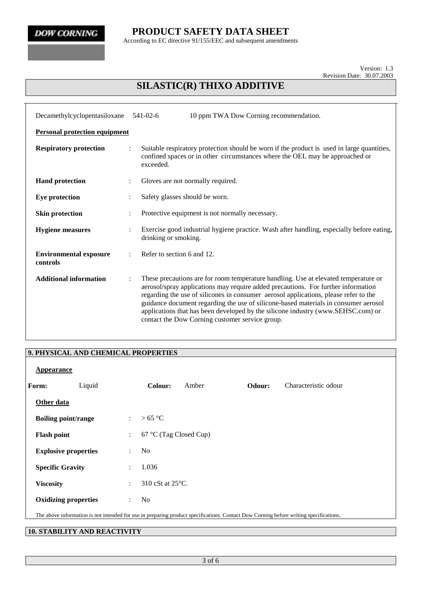According to EC directive 91/155/EEC and subsequent amendments

Version: 1.3 Revision Date: 30.07.2003

# **SILASTIC(R) THIXO ADDITIVE**

| Decamethylcyclopentasiloxane              | $541 - 02 - 6$ | 10 ppm TWA Dow Corning recommendation.                                                                                                                                                                                                                                                                                                                                                                                                                                                         |
|-------------------------------------------|----------------|------------------------------------------------------------------------------------------------------------------------------------------------------------------------------------------------------------------------------------------------------------------------------------------------------------------------------------------------------------------------------------------------------------------------------------------------------------------------------------------------|
| <b>Personal protection equipment</b>      |                |                                                                                                                                                                                                                                                                                                                                                                                                                                                                                                |
| <b>Respiratory protection</b>             | exceeded.      | Suitable respiratory protection should be worn if the product is used in large quantities,<br>confined spaces or in other circumstances where the OEL may be approached or                                                                                                                                                                                                                                                                                                                     |
| <b>Hand protection</b>                    |                | Gloves are not normally required.                                                                                                                                                                                                                                                                                                                                                                                                                                                              |
| <b>Eye protection</b>                     |                | Safety glasses should be worn.                                                                                                                                                                                                                                                                                                                                                                                                                                                                 |
| <b>Skin protection</b>                    |                | Protective equipment is not normally necessary.                                                                                                                                                                                                                                                                                                                                                                                                                                                |
| <b>Hygiene</b> measures                   | $\ddot{\cdot}$ | Exercise good industrial hygiene practice. Wash after handling, especially before eating,<br>drinking or smoking.                                                                                                                                                                                                                                                                                                                                                                              |
| <b>Environmental exposure</b><br>controls |                | Refer to section 6 and 12.                                                                                                                                                                                                                                                                                                                                                                                                                                                                     |
| <b>Additional information</b>             | $\ddot{\cdot}$ | These precautions are for room temperature handling. Use at elevated temperature or<br>aerosol/spray applications may require added precautions. For further information<br>regarding the use of silicones in consumer aerosol applications, please refer to the<br>guidance document regarding the use of silicone-based materials in consumer aerosol<br>applications that has been developed by the silicone industry (www.SEHSC.com) or<br>contact the Dow Corning customer service group. |

### **9. PHYSICAL AND CHEMICAL PROPERTIES**

|                  | Appearance                  |                           |                                                                                                                                       |
|------------------|-----------------------------|---------------------------|---------------------------------------------------------------------------------------------------------------------------------------|
| Form:            | Liquid                      |                           | Odour:<br>Colour:<br>Characteristic odour<br>Amber                                                                                    |
|                  | Other data                  |                           |                                                                                                                                       |
|                  | <b>Boiling point/range</b>  | $\ddot{\phantom{a}}$      | > 65 °C                                                                                                                               |
|                  | <b>Flash point</b>          | $\mathbb{Z}^{\mathbb{Z}}$ | 67 °C (Tag Closed Cup)                                                                                                                |
|                  | <b>Explosive properties</b> | $\ddot{\phantom{0}}$      | N <sub>0</sub>                                                                                                                        |
|                  | <b>Specific Gravity</b>     | $\ddot{\phantom{0}}$      | 1.036                                                                                                                                 |
| <b>Viscosity</b> |                             | $\ddot{\cdot}$            | 310 cSt at $25^{\circ}$ C.                                                                                                            |
|                  | <b>Oxidizing properties</b> | $\mathbf{r}$              | N <sub>0</sub>                                                                                                                        |
|                  |                             |                           | The above information is not intended for use in preparing product specifications. Contact Dow Corning before writing specifications. |
|                  |                             |                           |                                                                                                                                       |

## **10. STABILITY AND REACTIVITY**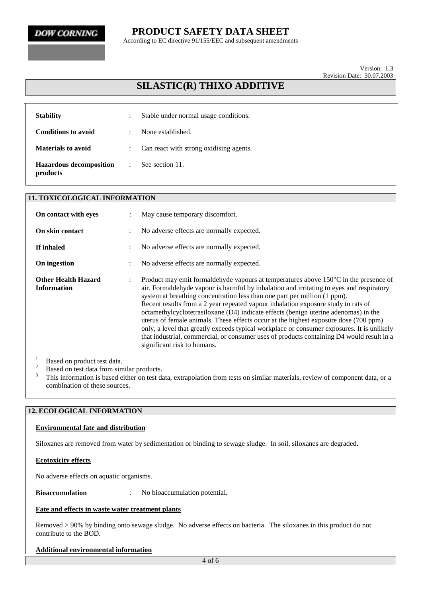According to EC directive 91/155/EEC and subsequent amendments

Version: 1.3 Revision Date: 30.07.2003

## **SILASTIC(R) THIXO ADDITIVE**

| <b>Stability</b>                           |   | Stable under normal usage conditions.   |
|--------------------------------------------|---|-----------------------------------------|
| <b>Conditions to avoid</b>                 | ÷ | None established.                       |
| <b>Materials to avoid</b>                  |   | Can react with strong oxidising agents. |
| <b>Hazardous decomposition</b><br>products | ÷ | See section 11.                         |

|                                                  | <b>11. TOXICOLOGICAL INFORMATION</b> |                                                                                                                                                                                                                                                                                                                                                                                                                                                                                                                                                                                                                                                                                                                                                                        |  |  |  |  |
|--------------------------------------------------|--------------------------------------|------------------------------------------------------------------------------------------------------------------------------------------------------------------------------------------------------------------------------------------------------------------------------------------------------------------------------------------------------------------------------------------------------------------------------------------------------------------------------------------------------------------------------------------------------------------------------------------------------------------------------------------------------------------------------------------------------------------------------------------------------------------------|--|--|--|--|
| On contact with eyes                             |                                      | May cause temporary discomfort.                                                                                                                                                                                                                                                                                                                                                                                                                                                                                                                                                                                                                                                                                                                                        |  |  |  |  |
| On skin contact                                  |                                      | No adverse effects are normally expected.                                                                                                                                                                                                                                                                                                                                                                                                                                                                                                                                                                                                                                                                                                                              |  |  |  |  |
| If inhaled                                       |                                      | No adverse effects are normally expected.                                                                                                                                                                                                                                                                                                                                                                                                                                                                                                                                                                                                                                                                                                                              |  |  |  |  |
| On ingestion                                     |                                      | No adverse effects are normally expected.                                                                                                                                                                                                                                                                                                                                                                                                                                                                                                                                                                                                                                                                                                                              |  |  |  |  |
| <b>Other Health Hazard</b><br><b>Information</b> | $\ddot{\phantom{a}}$                 | Product may emit formal dehyde vapours at temperatures above $150^{\circ}$ C in the presence of<br>air. Formaldehyde vapour is harmful by inhalation and irritating to eyes and respiratory<br>system at breathing concentration less than one part per million (1 ppm).<br>Recent results from a 2 year repeated vapour inhalation exposure study to rats of<br>octamethylcyclotetrasiloxane (D4) indicate effects (benign uterine adenomas) in the<br>uterus of female animals. These effects occur at the highest exposure dose (700 ppm)<br>only, a level that greatly exceeds typical workplace or consumer exposures. It is unlikely<br>that industrial, commercial, or consumer uses of products containing D4 would result in a<br>significant risk to humans. |  |  |  |  |

<sup>1</sup> Based on product test data.<br><sup>2</sup> Based on test data from similar products.<br><sup>3</sup> This information is based either on test data, extrapolation from tests on similar materials, review of component data, or a combination of these sources.

### **12. ECOLOGICAL INFORMATION**

#### **Environmental fate and distribution**

Siloxanes are removed from water by sedimentation or binding to sewage sludge. In soil, siloxanes are degraded.

#### **Ecotoxicity effects**

No adverse effects on aquatic organisms.

**Bioaccumulation** : No bioaccumulation potential.

#### **Fate and effects in waste water treatment plants**

Removed > 90% by binding onto sewage sludge. No adverse effects on bacteria. The siloxanes in this product do not contribute to the BOD.

#### **Additional environmental information**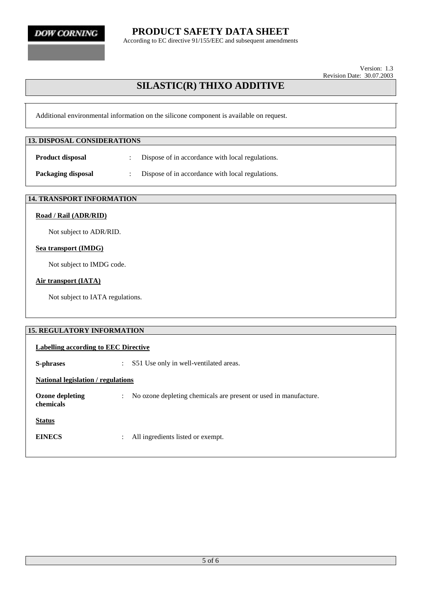**DOW CORNING** 

**PRODUCT SAFETY DATA SHEET**

According to EC directive 91/155/EEC and subsequent amendments

Version: 1.3 Revision Date: 30.07.2003

# **SILASTIC(R) THIXO ADDITIVE**

Additional environmental information on the silicone component is available on request.

| <b>13. DISPOSAL CONSIDERATIONS</b>            |   |                                                  |
|-----------------------------------------------|---|--------------------------------------------------|
| <b>Product disposal</b>                       |   | Dispose of in accordance with local regulations. |
| Packaging disposal                            | ÷ | Dispose of in accordance with local regulations. |
| $\lambda$ i mm intonomment on $\lambda$ inton |   |                                                  |

## **14. TRANSPORT INFORMATION**

## **Road / Rail (ADR/RID)**

Not subject to ADR/RID.

### **Sea transport (IMDG)**

Not subject to IMDG code.

### **Air transport (IATA)**

Not subject to IATA regulations.

| <b>15. REGULATORY INFORMATION</b>         |                                                                                    |
|-------------------------------------------|------------------------------------------------------------------------------------|
| Labelling according to EEC Directive      |                                                                                    |
| S-phrases                                 | S51 Use only in well-ventilated areas.<br>$\mathcal{I}^{\mathcal{I}}$ .            |
| <b>National legislation / regulations</b> |                                                                                    |
| <b>Ozone depleting</b><br>chemicals       | No ozone depleting chemicals are present or used in manufacture.<br>$\ddot{\cdot}$ |
| <b>Status</b>                             |                                                                                    |
| <b>EINECS</b>                             | All ingredients listed or exempt.<br>$\ddot{\cdot}$                                |
|                                           |                                                                                    |